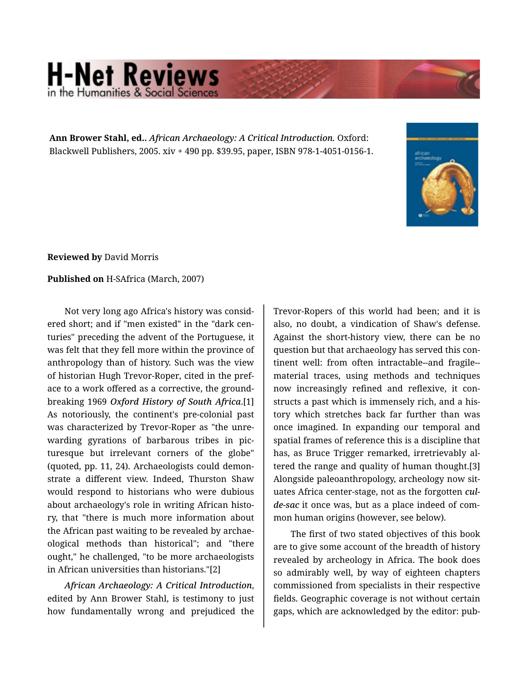## **H-Net Reviews** in the Humanities & Social S

**Ann Brower Stahl, ed..** *African Archaeology: A Critical Introduction.* Oxford: Blackwell Publishers, 2005. xiv + 490 pp. \$39.95, paper, ISBN 978-1-4051-0156-1.



**Reviewed by** David Morris

## **Published on** H-SAfrica (March, 2007)

Not very long ago Africa's history was consid‐ ered short; and if "men existed" in the "dark cen‐ turies" preceding the advent of the Portuguese, it was felt that they fell more within the province of anthropology than of history. Such was the view of historian Hugh Trevor-Roper, cited in the pref‐ ace to a work offered as a corrective, the ground‐ breaking 1969 *Oxford History of South Africa*.[1] As notoriously, the continent's pre-colonial past was characterized by Trevor-Roper as "the unre‐ warding gyrations of barbarous tribes in pic‐ turesque but irrelevant corners of the globe" (quoted, pp. 11, 24). Archaeologists could demon‐ strate a different view. Indeed, Thurston Shaw would respond to historians who were dubious about archaeology's role in writing African histo‐ ry, that "there is much more information about the African past waiting to be revealed by archae‐ ological methods than historical"; and "there ought," he challenged, "to be more archaeologists in African universities than historians."[2]

*African Archaeology: A Critical Introduction*, edited by Ann Brower Stahl, is testimony to just how fundamentally wrong and prejudiced the

Trevor-Ropers of this world had been; and it is also, no doubt, a vindication of Shaw's defense. Against the short-history view, there can be no question but that archaeology has served this con‐ tinent well: from often intractable--and fragile- material traces, using methods and techniques now increasingly refined and reflexive, it con‐ structs a past which is immensely rich, and a his‐ tory which stretches back far further than was once imagined. In expanding our temporal and spatial frames of reference this is a discipline that has, as Bruce Trigger remarked, irretrievably al‐ tered the range and quality of human thought.[3] Alongside paleoanthropology, archeology now sit‐ uates Africa center-stage, not as the forgotten *culde-sac* it once was, but as a place indeed of com‐ mon human origins (however, see below).

The first of two stated objectives of this book are to give some account of the breadth of history revealed by archeology in Africa. The book does so admirably well, by way of eighteen chapters commissioned from specialists in their respective fields. Geographic coverage is not without certain gaps, which are acknowledged by the editor: pub‐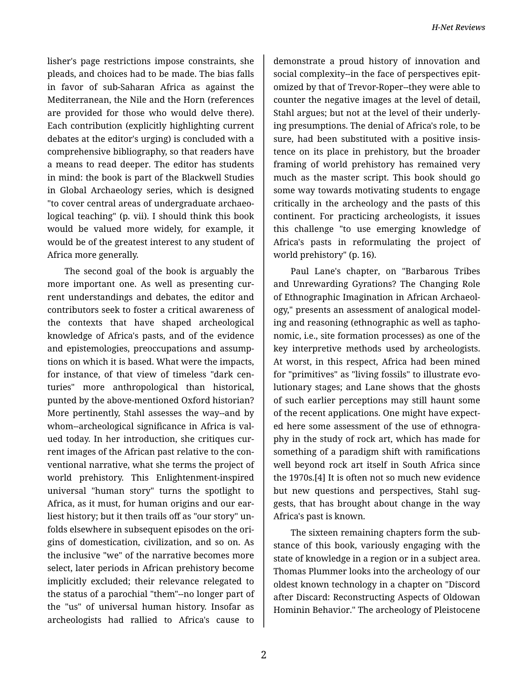lisher's page restrictions impose constraints, she pleads, and choices had to be made. The bias falls in favor of sub-Saharan Africa as against the Mediterranean, the Nile and the Horn (references are provided for those who would delve there). Each contribution (explicitly highlighting current debates at the editor's urging) is concluded with a comprehensive bibliography, so that readers have a means to read deeper. The editor has students in mind: the book is part of the Blackwell Studies in Global Archaeology series, which is designed "to cover central areas of undergraduate archaeo‐ logical teaching" (p. vii). I should think this book would be valued more widely, for example, it would be of the greatest interest to any student of Africa more generally.

The second goal of the book is arguably the more important one. As well as presenting cur‐ rent understandings and debates, the editor and contributors seek to foster a critical awareness of the contexts that have shaped archeological knowledge of Africa's pasts, and of the evidence and epistemologies, preoccupations and assump‐ tions on which it is based. What were the impacts, for instance, of that view of timeless "dark cen‐ turies" more anthropological than historical, punted by the above-mentioned Oxford historian? More pertinently, Stahl assesses the way--and by whom--archeological significance in Africa is val‐ ued today. In her introduction, she critiques cur‐ rent images of the African past relative to the con‐ ventional narrative, what she terms the project of world prehistory. This Enlightenment-inspired universal "human story" turns the spotlight to Africa, as it must, for human origins and our ear‐ liest history; but it then trails off as "our story" un‐ folds elsewhere in subsequent episodes on the ori‐ gins of domestication, civilization, and so on. As the inclusive "we" of the narrative becomes more select, later periods in African prehistory become implicitly excluded; their relevance relegated to the status of a parochial "them"--no longer part of the "us" of universal human history. Insofar as archeologists had rallied to Africa's cause to

demonstrate a proud history of innovation and social complexity--in the face of perspectives epit‐ omized by that of Trevor-Roper--they were able to counter the negative images at the level of detail, Stahl argues; but not at the level of their underly‐ ing presumptions. The denial of Africa's role, to be sure, had been substituted with a positive insis‐ tence on its place in prehistory, but the broader framing of world prehistory has remained very much as the master script. This book should go some way towards motivating students to engage critically in the archeology and the pasts of this continent. For practicing archeologists, it issues this challenge "to use emerging knowledge of Africa's pasts in reformulating the project of world prehistory" (p. 16).

Paul Lane's chapter, on "Barbarous Tribes and Unrewarding Gyrations? The Changing Role of Ethnographic Imagination in African Archaeol‐ ogy," presents an assessment of analogical model‐ ing and reasoning (ethnographic as well as tapho‐ nomic, i.e., site formation processes) as one of the key interpretive methods used by archeologists. At worst, in this respect, Africa had been mined for "primitives" as "living fossils" to illustrate evo‐ lutionary stages; and Lane shows that the ghosts of such earlier perceptions may still haunt some of the recent applications. One might have expect‐ ed here some assessment of the use of ethnogra‐ phy in the study of rock art, which has made for something of a paradigm shift with ramifications well beyond rock art itself in South Africa since the 1970s.[4] It is often not so much new evidence but new questions and perspectives, Stahl suggests, that has brought about change in the way Africa's past is known.

The sixteen remaining chapters form the sub‐ stance of this book, variously engaging with the state of knowledge in a region or in a subject area. Thomas Plummer looks into the archeology of our oldest known technology in a chapter on "Discord after Discard: Reconstructing Aspects of Oldowan Hominin Behavior." The archeology of Pleistocene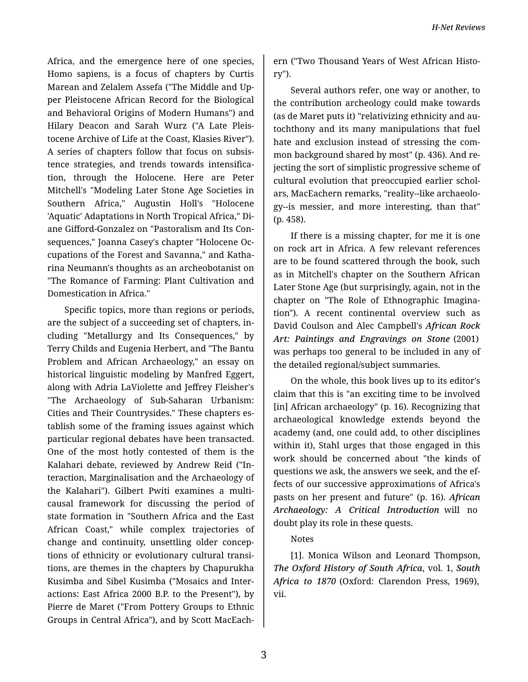Africa, and the emergence here of one species, Homo sapiens, is a focus of chapters by Curtis Marean and Zelalem Assefa ("The Middle and Up‐ per Pleistocene African Record for the Biological and Behavioral Origins of Modern Humans") and Hilary Deacon and Sarah Wurz ("A Late Pleis‐ tocene Archive of Life at the Coast, Klasies River"). A series of chapters follow that focus on subsis‐ tence strategies, and trends towards intensifica‐ tion, through the Holocene. Here are Peter Mitchell's "Modeling Later Stone Age Societies in Southern Africa," Augustin Holl's "Holocene 'Aquatic' Adaptations in North Tropical Africa," Di‐ ane Gifford-Gonzalez on "Pastoralism and Its Con‐ sequences," Joanna Casey's chapter "Holocene Oc‐ cupations of the Forest and Savanna," and Katha‐ rina Neumann's thoughts as an archeobotanist on "The Romance of Farming: Plant Cultivation and Domestication in Africa."

Specific topics, more than regions or periods, are the subject of a succeeding set of chapters, in‐ cluding "Metallurgy and Its Consequences," by Terry Childs and Eugenia Herbert, and "The Bantu Problem and African Archaeology," an essay on historical linguistic modeling by Manfred Eggert, along with Adria LaViolette and Jeffrey Fleisher's "The Archaeology of Sub-Saharan Urbanism: Cities and Their Countrysides." These chapters es‐ tablish some of the framing issues against which particular regional debates have been transacted. One of the most hotly contested of them is the Kalahari debate, reviewed by Andrew Reid ("In‐ teraction, Marginalisation and the Archaeology of the Kalahari"). Gilbert Pwiti examines a multicausal framework for discussing the period of state formation in "Southern Africa and the East African Coast," while complex trajectories of change and continuity, unsettling older concep‐ tions of ethnicity or evolutionary cultural transi‐ tions, are themes in the chapters by Chapurukha Kusimba and Sibel Kusimba ("Mosaics and Inter‐ actions: East Africa 2000 B.P. to the Present"), by Pierre de Maret ("From Pottery Groups to Ethnic Groups in Central Africa"), and by Scott MacEach‐

ern ("Two Thousand Years of West African Histo‐ ry").

Several authors refer, one way or another, to the contribution archeology could make towards (as de Maret puts it) "relativizing ethnicity and au‐ tochthony and its many manipulations that fuel hate and exclusion instead of stressing the com‐ mon background shared by most" (p. 436). And re‐ jecting the sort of simplistic progressive scheme of cultural evolution that preoccupied earlier schol‐ ars, MacEachern remarks, "reality--like archaeolo‐ gy--is messier, and more interesting, than that" (p. 458).

If there is a missing chapter, for me it is one on rock art in Africa. A few relevant references are to be found scattered through the book, such as in Mitchell's chapter on the Southern African Later Stone Age (but surprisingly, again, not in the chapter on "The Role of Ethnographic Imagina‐ tion"). A recent continental overview such as David Coulson and Alec Campbell's *African Rock Art: Paintings and Engravings on Stone* (2001) was perhaps too general to be included in any of the detailed regional/subject summaries.

On the whole, this book lives up to its editor's claim that this is "an exciting time to be involved [in] African archaeology" (p. 16). Recognizing that archaeological knowledge extends beyond the academy (and, one could add, to other disciplines within it), Stahl urges that those engaged in this work should be concerned about "the kinds of questions we ask, the answers we seek, and the ef‐ fects of our successive approximations of Africa's pasts on her present and future" (p. 16). *African Archaeology: A Critical Introduction* will no doubt play its role in these quests.

## Notes

[1]. Monica Wilson and Leonard Thompson, *The Oxford History of South Africa*, vol. 1, *South Africa to 1870* (Oxford: Clarendon Press, 1969), vii.